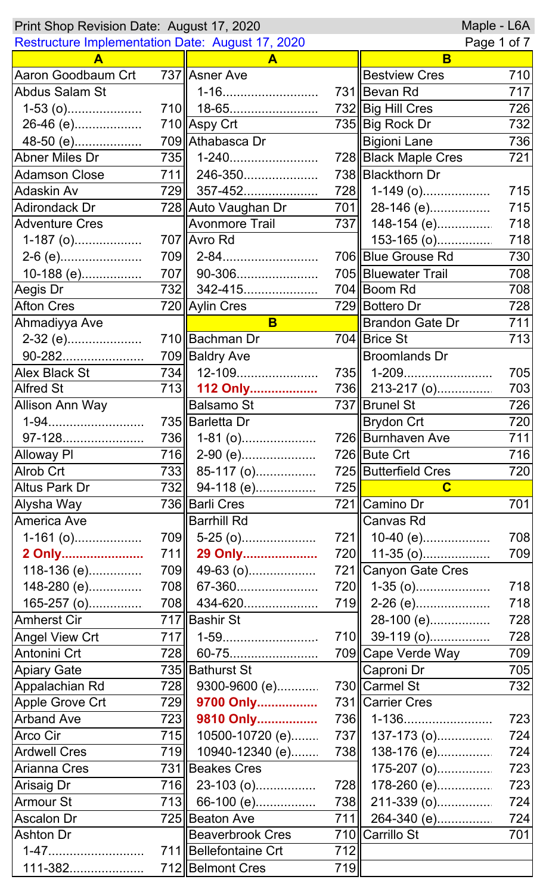| Maple - L6A<br>Print Shop Revision Date: August 17, 2020 |     |                         |     |                        |     |
|----------------------------------------------------------|-----|-------------------------|-----|------------------------|-----|
| Restructure Implementation Date: August 17, 2020         |     |                         |     | Page 1 of 7            |     |
|                                                          |     | A                       |     | B                      |     |
| Aaron Goodbaum Crt                                       |     | 737 Asner Ave           |     | <b>Bestview Cres</b>   | 710 |
| <b>Abdus Salam St</b>                                    |     | 1-16                    |     | 731 Bevan Rd           | 717 |
| $1-53$ (o)                                               |     | 710 18-65               |     | 732 Big Hill Cres      | 726 |
| 26-46 (e)                                                |     | 710 Aspy Crt            |     | 735 Big Rock Dr        | 732 |
|                                                          |     | 709 Athabasca Dr        |     | <b>Bigioni Lane</b>    | 736 |
| Abner Miles Dr                                           | 735 | 1-240                   |     | 728 Black Maple Cres   | 721 |
| <b>Adamson Close</b>                                     |     | 711   246-350           |     | 738 Blackthorn Dr      |     |
| <b>Adaskin Av</b>                                        |     | 729 357-452             |     | 728 1-149 (o)          | 715 |
| <b>Adirondack Dr</b>                                     |     | 728 Auto Vaughan Dr     |     | $701$   28-146 (e)     | 715 |
| <b>Adventure Cres</b>                                    |     | <b>Avonmore Trail</b>   |     | 737    148-154 (e)     | 718 |
| $1-187$ (o)                                              |     | 707 Avro Rd             |     | 153-165 (o)            | 718 |
|                                                          |     | $709$   2-84            |     | 706 Blue Grouse Rd     | 730 |
| 10-188 (e)                                               |     | 707   90-306            |     | 705 Bluewater Trail    | 708 |
| Aegis Dr                                                 |     | 732 342-415             |     | 704 Boom Rd            | 708 |
| <b>Afton Cres</b>                                        |     | 720 Aylin Cres          |     | 729 Bottero Dr         | 728 |
| Ahmadiyya Ave                                            |     | B                       |     | <b>Brandon Gate Dr</b> | 711 |
| 2-32 (e)                                                 |     | 710 Bachman Dr          |     | 704 Brice St           | 713 |
| 90-282                                                   |     | 709 Baldry Ave          |     | <b>Broomlands Dr</b>   |     |
| <b>Alex Black St</b>                                     | 734 | 12-109                  |     | 735    1-209           | 705 |
| <b>Alfred St</b>                                         |     | 713 112 Only            |     | 736 213-217 (o)        | 703 |
| <b>Allison Ann Way</b>                                   |     | <b>Balsamo St</b>       |     | 737   Brunel St        | 726 |
|                                                          |     | 735 Barletta Dr         |     | Brydon Crt             | 720 |
| 97-128                                                   | 736 | $1-81$ (o)              |     | 726 Burnhaven Ave      | 711 |
| Alloway PI                                               | 716 | $2-90$ (e)              |     | 726 Bute Crt           | 716 |
| Alrob Crt                                                | 733 | 85-117 (o)              |     | 725 Butterfield Cres   | 720 |
| <b>Altus Park Dr</b>                                     | 732 | 94-118 (e)              | 725 | $\mathbf C$            |     |
| Alysha Way                                               |     | 736 Barli Cres          |     | 721 Camino Dr          | 701 |
| America Ave                                              |     | <b>Barrhill Rd</b>      |     | Canvas Rd              |     |
| $1-161$ (o)                                              | 709 | $5-25$ (o)              | 721 | 10-40 (e)              | 708 |
| 2 Only                                                   | 711 | 29 Only                 |     | 720    11-35 (o)       | 709 |
| 118-136 (e)                                              | 709 | 49-63 (o)               |     | 721   Canyon Gate Cres |     |
| 148-280 (e)                                              | 708 | 67-360                  | 720 | 1-35 (o)               | 718 |
| 165-257 (o)                                              | 708 | 434-620                 |     | 719 2-26 (e)           | 718 |
| <b>Amherst Cir</b>                                       |     | 717 Bashir St           |     | 28-100 (e)             | 728 |
| <b>Angel View Crt</b>                                    | 717 | 1-59                    |     | 710 39-119 (o)         | 728 |
| Antonini Crt                                             | 728 | 60-75                   |     | 709∥Cape Verde Way     | 709 |
| <b>Apiary Gate</b>                                       |     | 735 Bathurst St         |     | Caproni Dr             | 705 |
| Appalachian Rd                                           | 728 | 9300-9600 (e)           |     | 730 Carmel St          | 732 |
| Apple Grove Crt                                          | 729 | 9700 Only               |     | 731 Carrier Cres       |     |
| <b>Arband Ave</b>                                        | 723 | 9810 Only               |     | 736   1-136            | 723 |
| Arco Cir                                                 | 715 | 10500-10720 (e)         | 737 | $137-173$ (o)          | 724 |
| <b>Ardwell Cres</b>                                      | 719 | 10940-12340 (e)         | 738 | 138-176 (e)            | 724 |
| <b>Arianna Cres</b>                                      |     | 731 Beakes Cres         |     | $175-207$ (o)          | 723 |
| <b>Arisaig Dr</b>                                        | 716 | 23-103 (o)              | 728 | 178-260 (e)            | 723 |
| <b>Armour St</b>                                         | 713 | 66-100 (e)              | 738 | 211-339 (0)            | 724 |
| <b>Ascalon Dr</b>                                        |     | 725∥Beaton Ave          |     | 711   264-340 (e)      | 724 |
| <b>Ashton Dr</b>                                         |     | <b>Beaverbrook Cres</b> |     | 710 Carrillo St        | 701 |
| $1 - 47$<br>.                                            |     | 711 Bellefontaine Crt   | 712 |                        |     |
| 111-382.                                                 |     | 712 Belmont Cres        | 719 |                        |     |
|                                                          |     |                         |     |                        |     |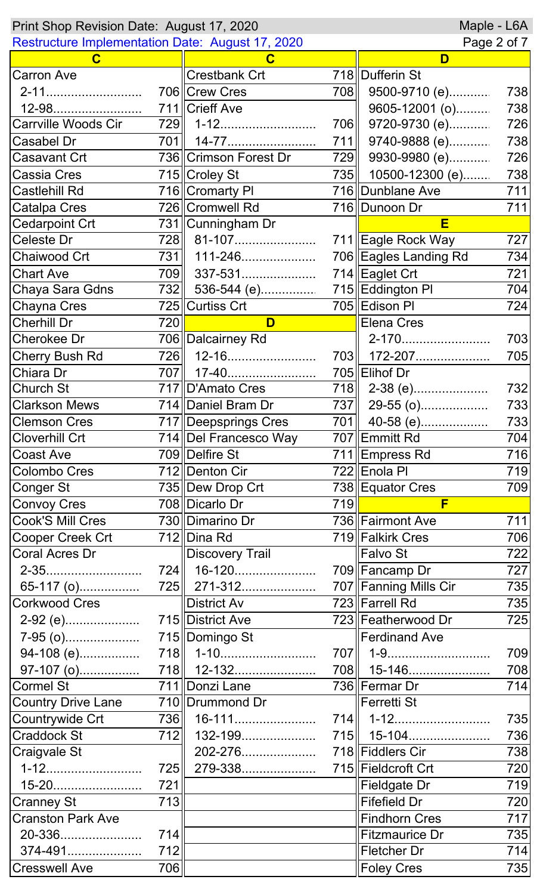|                                                         | Maple - L6A<br>Print Shop Revision Date: August 17, 2020 |                                |             |                       |     |  |
|---------------------------------------------------------|----------------------------------------------------------|--------------------------------|-------------|-----------------------|-----|--|
| <b>Restructure Implementation Date: August 17, 2020</b> |                                                          |                                | Page 2 of 7 |                       |     |  |
| C                                                       |                                                          | C                              |             | D                     |     |  |
| <b>Carron Ave</b>                                       |                                                          | <b>Crestbank Crt</b>           |             | 718   Dufferin St     |     |  |
| 2-11                                                    |                                                          | 706 Crew Cres                  | 708         | 9500-9710 (e)         | 738 |  |
| 12-98                                                   |                                                          | 711 Crieff Ave                 |             | 9605-12001 (o)        | 738 |  |
| Carrville Woods Cir                                     | 729                                                      | 1-12                           | 706         | 9720-9730 (e)         | 726 |  |
| Casabel Dr                                              | 701                                                      | 14-77                          | 711         | 9740-9888 (e)         | 738 |  |
| Casavant Crt                                            |                                                          | 736 Crimson Forest Dr          | 729         | 9930-9980 (e)         | 726 |  |
| <b>Cassia Cres</b>                                      |                                                          | 715 Croley St                  |             | 735 10500-12300 (e)   | 738 |  |
| <b>Castlehill Rd</b>                                    |                                                          | 716 Cromarty PI                |             | 716 Dunblane Ave      | 711 |  |
| <b>Catalpa Cres</b>                                     |                                                          | 726 Cromwell Rd                |             | 716 Dunoon Dr         | 711 |  |
| <b>Cedarpoint Crt</b>                                   |                                                          | 731   Cunningham Dr            |             | Е                     |     |  |
| Celeste Dr                                              | 728                                                      | 81-107                         |             | 711 Eagle Rock Way    | 727 |  |
| Chaiwood Crt                                            | 731II                                                    | 111-246                        |             | 706 Eagles Landing Rd | 734 |  |
| <b>Chart Ave</b>                                        | 709                                                      | 337-531                        |             | 714 Eaglet Crt        | 721 |  |
| Chaya Sara Gdns                                         | 732                                                      | 536-544 (e)                    |             | 715 Eddington PI      | 704 |  |
| Chayna Cres                                             |                                                          | 725 Curtiss Crt                |             | 705 Edison PI         | 724 |  |
| <b>Cherhill Dr</b>                                      | 720                                                      | D                              |             | Elena Cres            |     |  |
| Cherokee Dr                                             |                                                          | 706 Dalcairney Rd              |             | 2-170                 | 703 |  |
| <b>Cherry Bush Rd</b>                                   | 726                                                      | 12-16                          |             | 703   172-207         | 705 |  |
| Chiara Dr                                               | 707                                                      | 17-40                          |             | 705 Elihof Dr         |     |  |
| <b>Church St</b>                                        |                                                          | 717 D'Amato Cres               | 718         | 2-38 (e)              | 732 |  |
| <b>Clarkson Mews</b>                                    |                                                          | 714 Daniel Bram Dr             | 737         | 29-55 (o)             | 733 |  |
| <b>Clemson Cres</b>                                     |                                                          | 717 Deepsprings Cres           |             | 701 40-58 (e)         | 733 |  |
| <b>Cloverhill Crt</b>                                   |                                                          | 714 Del Francesco Way          |             | 707 Emmitt Rd         | 704 |  |
| <b>Coast Ave</b>                                        |                                                          | 709 Delfire St                 |             | 711 Empress Rd        | 716 |  |
| Colombo Cres                                            |                                                          | 712 Denton Cir                 |             | 722 Enola PI          | 719 |  |
| <b>Conger St</b>                                        |                                                          | 735 Dew Drop Crt               |             | 738 Equator Cres      | 709 |  |
| <b>Convoy Cres</b>                                      |                                                          | 708 Dicarlo Dr                 | 719         | F                     |     |  |
| Cook'S Mill Cres                                        |                                                          | 730 Dimarino Dr                |             | 736 Fairmont Ave      | 711 |  |
| Cooper Creek Crt                                        |                                                          | 712 Dina Rd                    |             | 719 Falkirk Cres      | 706 |  |
| Coral Acres Dr                                          |                                                          | <b>Discovery Trail</b>         |             | Falvo St              | 722 |  |
| 2-35                                                    |                                                          | 724   16-120                   |             | 709 Fancamp Dr        | 727 |  |
| 65-117 (o)                                              |                                                          | 725    271-312                 |             | 707 Fanning Mills Cir | 735 |  |
| Corkwood Cres                                           |                                                          | <b>District Av</b>             |             | 723 Farrell Rd        | 735 |  |
| 2-92 (e)                                                |                                                          | 715 District Ave               |             | 723 Featherwood Dr    | 725 |  |
| 7-95 (o)                                                |                                                          | 715 Domingo St                 |             | Ferdinand Ave         |     |  |
|                                                         |                                                          |                                |             |                       |     |  |
| 94-108 (e)                                              |                                                          | 718   1-10                     |             | 707   1-9             | 709 |  |
| 97-107 (o)                                              |                                                          | 718   12-132<br>711 Donzi Lane |             | 708    15-146         | 708 |  |
| <b>Cormel St</b>                                        |                                                          |                                |             | 736 Fermar Dr         | 714 |  |
| <b>Country Drive Lane</b>                               |                                                          | 710 Drummond Dr                |             | Ferretti St           |     |  |
| Countrywide Crt                                         | 736                                                      | 16-111                         |             | $714$   1-12          | 735 |  |
| <b>Craddock St</b>                                      | 712                                                      | 132-199                        |             | 715   15-104          | 736 |  |
| Craigvale St                                            |                                                          | 202-276                        |             | 718 Fiddlers Cir      | 738 |  |
| 1-12                                                    | 725                                                      | 279-338                        |             | 715 Fieldcroft Crt    | 720 |  |
| 15-20                                                   | 721                                                      |                                |             | <b>Fieldgate Dr</b>   | 719 |  |
| <b>Cranney St</b>                                       | 713                                                      |                                |             | <b>Fifefield Dr</b>   | 720 |  |
| <b>Cranston Park Ave</b>                                |                                                          |                                |             | Findhorn Cres         | 717 |  |
| 20-336                                                  | 714                                                      |                                |             | <b>Fitzmaurice Dr</b> | 735 |  |
| 374-491                                                 | 712                                                      |                                |             | Fletcher Dr           | 714 |  |
| <b>Cresswell Ave</b>                                    | 706                                                      |                                |             | <b>Foley Cres</b>     | 735 |  |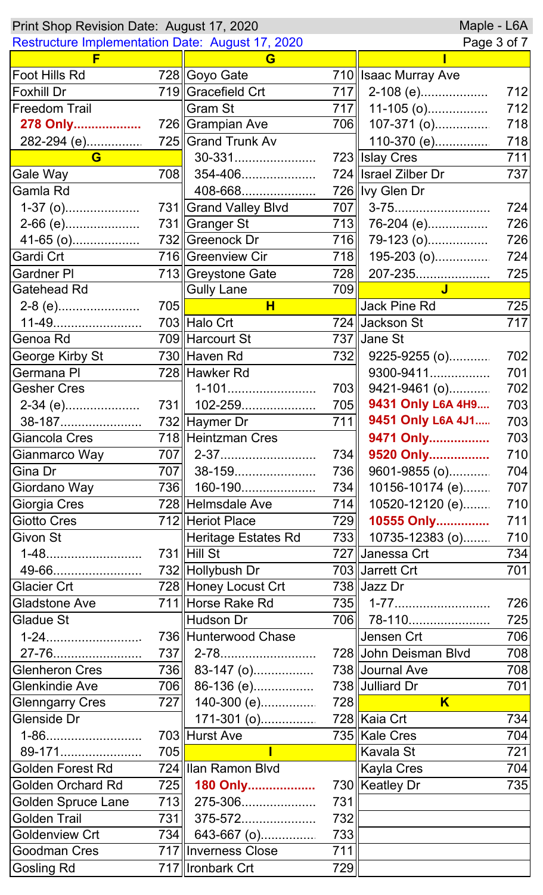| Maple - L6A<br>Print Shop Revision Date: August 17, 2020 |                  |                       |     |                             |     |  |
|----------------------------------------------------------|------------------|-----------------------|-----|-----------------------------|-----|--|
| <b>Restructure Implementation Date: August 17, 2020</b>  |                  |                       |     | Page 3 of 7                 |     |  |
|                                                          |                  | G                     |     |                             |     |  |
| Foot Hills Rd                                            |                  | 728 Goyo Gate         |     | 710 Isaac Murray Ave        |     |  |
| <b>Foxhill Dr</b>                                        |                  | 719 Gracefield Crt    | 717 | 2-108 (e)                   | 712 |  |
| <b>Freedom Trail</b>                                     |                  | <b>Gram St</b>        | 717 | 11-105 (o)                  | 712 |  |
| 278 Only                                                 |                  | 726 Grampian Ave      | 706 | 107-371 (0)                 | 718 |  |
| 282-294 (e)                                              |                  | 725 Grand Trunk Av    |     | 110-370 (e)                 | 718 |  |
| G                                                        |                  | 30-331                |     | 723 Islay Cres              | 711 |  |
| Gale Way                                                 | 708              | 354-406               |     | 724 Israel Zilber Dr        | 737 |  |
| Gamla Rd                                                 |                  | 408-668               |     | 726 Vy Glen Dr              |     |  |
| $1-37$ (o)                                               |                  | 731 Grand Valley Blvd | 707 | 3-75                        | 724 |  |
| 2-66 (e)                                                 |                  | 731 Granger St        |     | $\overline{713}$ 76-204 (e) | 726 |  |
| 41-65 (o)                                                |                  | 732 Greenock Dr       |     | $\overline{716}$ 79-123 (o) | 726 |  |
| Gardi Crt                                                |                  | 716 Greenview Cir     |     | $718$ 195-203 (o)           | 724 |  |
| <b>Gardner PI</b>                                        |                  | 713 Greystone Gate    | 728 | 207-235                     | 725 |  |
| Gatehead Rd                                              |                  | <b>Gully Lane</b>     | 709 | $\mathbf{J}$                |     |  |
| 2-8 (e)                                                  | 705              | H                     |     | Jack Pine Rd                | 725 |  |
| 11-49                                                    |                  | 703 Halo Crt          |     | 724 Jackson St              | 717 |  |
| Genoa Rd                                                 |                  | 709 Harcourt St       |     | 737 Jane St                 |     |  |
| George Kirby St                                          |                  | 730 Haven Rd          |     | $732$ 9225-9255 (o)         | 702 |  |
| Germana PI                                               |                  | 728 Hawker Rd         |     | 9300-9411                   | 701 |  |
| <b>Gesher Cres</b>                                       |                  | 1-101                 | 703 | 9421-9461 (o)               | 702 |  |
| $2-34$ (e)                                               |                  | 731   102-259         | 705 | 9431 Only L6A 4H9           | 703 |  |
| 38-187                                                   |                  | 732 Haymer Dr         | 711 | 9451 Only L6A 4J1           | 703 |  |
| Giancola Cres                                            |                  | 718 Heintzman Cres    |     |                             | 703 |  |
|                                                          |                  |                       |     | 9471 Only                   |     |  |
| Gianmarco Way                                            |                  |                       | 734 | 9520 Only                   | 710 |  |
| Gina Dr                                                  | 707              | 38-159                | 736 | 9601-9855 (o)               | 704 |  |
| Giordano Way                                             |                  | 736   160-190         | 734 | 10156-10174 (e)             | 707 |  |
| Giorgia Cres                                             |                  | 728 Helmsdale Ave     | 714 | 10520-12120 (e)             | 710 |  |
| Giotto Cres                                              |                  | 712 Heriot Place      | 729 | 10555 Only                  | 711 |  |
| Givon St                                                 |                  | Heritage Estates Rd   |     | 733 10735-12383 (o)         | 710 |  |
| 1-48                                                     |                  | 731 Hill St           |     | 727 Janessa Crt             | 734 |  |
| 49-66                                                    |                  | 732 Hollybush Dr      |     | 703 Jarrett Crt             | 701 |  |
| <b>Glacier Crt</b>                                       |                  | 728 Honey Locust Crt  |     | 738 Jazz Dr                 |     |  |
| <b>Gladstone Ave</b>                                     |                  | 711 Horse Rake Rd     |     | 735    1-77                 | 726 |  |
| <b>Gladue St</b>                                         |                  | Hudson Dr             |     | 706 78-110                  | 725 |  |
| 1-24                                                     |                  | 736 Hunterwood Chase  |     | Jensen Crt                  | 706 |  |
| 27-76                                                    | 737              |                       |     | 728 John Deisman Blvd       | 708 |  |
| <b>Glenheron Cres</b>                                    |                  | $736$    83-147 (o)   |     | 738 Journal Ave             | 708 |  |
| Glenkindie Ave                                           | 706              | 86-136 (e)            |     | 738 Julliard Dr             | 701 |  |
| <b>Glenngarry Cres</b>                                   | <b>727</b>       | 140-300 (e)           | 728 | $\overline{\mathsf{K}}$     |     |  |
| Glenside Dr                                              |                  | 171-301 (o)           |     | 728 Kaia Crt                | 734 |  |
| 1-86                                                     |                  | 703 Hurst Ave         |     | 735 Kale Cres               | 704 |  |
| 89-171                                                   | 705              | $\mathbf{I}$          |     | Kavala St                   | 721 |  |
| Golden Forest Rd                                         |                  | 724 Ilan Ramon Blvd   |     | Kayla Cres                  | 704 |  |
| Golden Orchard Rd                                        | 725              | 180 Only              |     | 730 Keatley Dr              | 735 |  |
| <b>Golden Spruce Lane</b>                                |                  | 713    275-306        | 731 |                             |     |  |
| <b>Golden Trail</b>                                      | 731 <sup> </sup> | 375-572               | 732 |                             |     |  |
| <b>Goldenview Crt</b>                                    | 734              | 643-667 (o)           | 733 |                             |     |  |
| Goodman Cres                                             |                  | 717   Inverness Close | 711 |                             |     |  |
| <b>Gosling Rd</b>                                        |                  | 717   Ironbark Crt    | 729 |                             |     |  |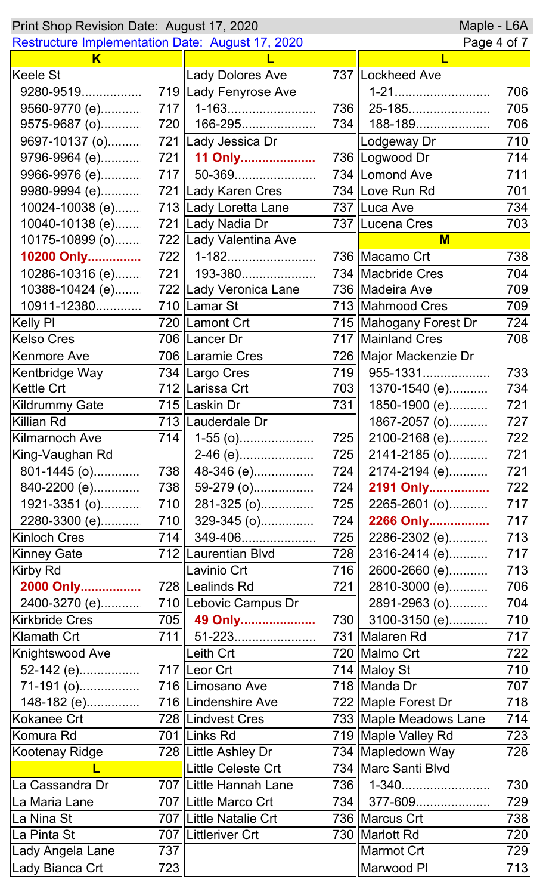| Maple - L6A<br>Print Shop Revision Date: August 17, 2020               |            |                          |            |                        |     |
|------------------------------------------------------------------------|------------|--------------------------|------------|------------------------|-----|
| <b>Restructure Implementation Date: August 17, 2020</b><br>Page 4 of 7 |            |                          |            |                        |     |
| K                                                                      |            |                          |            |                        |     |
| Keele St                                                               |            | Lady Dolores Ave         |            | 737 Lockheed Ave       |     |
| 9280-9519                                                              |            | 719 Lady Fenyrose Ave    |            | 1-21                   | 706 |
| 9560-9770 (e)                                                          | 717        | 1-163                    | 736        | 25-185                 | 705 |
| 9575-9687 (o)                                                          | 720        | 166-295                  | 734        | 188-189                | 706 |
| 9697-10137 (o)                                                         |            | 721  Lady Jessica Dr     |            | Lodgeway Dr            | 710 |
| 9796-9964 (e)                                                          | 721        | 11 Only                  |            | 736   Logwood Dr       | 714 |
| 9966-9976 (e)                                                          | <b>717</b> | 50-369                   |            | 734 Lomond Ave         | 711 |
| 9980-9994 (e)                                                          |            | 721 Lady Karen Cres      |            | 734 Love Run Rd        | 701 |
| 10024-10038 (e)                                                        |            | 713 Lady Loretta Lane    |            | 737 Luca Ave           | 734 |
| 10040-10138 (e)                                                        |            | 721   Lady Nadia Dr      |            | 737 Lucena Cres        | 703 |
| 10175-10899 (o)                                                        |            | 722 Lady Valentina Ave   |            | M                      |     |
| 10200 Only                                                             | 722        | 1-182                    |            | 736 Macamo Crt         | 738 |
| 10286-10316 (e)                                                        | 721        | 193-380                  |            | 734 Macbride Cres      | 704 |
| $10388 - 10424$ (e)                                                    |            | 722 Lady Veronica Lane   |            | 736 Madeira Ave        | 709 |
| 10911-12380                                                            |            | 710 Lamar St             |            | 713   Mahmood Cres     | 709 |
| Kelly Pl                                                               |            | 720  Lamont Crt          |            | 715 Mahogany Forest Dr | 724 |
| <b>Kelso Cres</b>                                                      |            | 706 Lancer Dr            |            | 717 Mainland Cres      | 708 |
| Kenmore Ave                                                            |            | 706 Laramie Cres         |            | 726 Major Mackenzie Dr |     |
| Kentbridge Way                                                         |            | 734 Largo Cres           | 719        | 955-1331               | 733 |
| Kettle Crt                                                             |            | 712 Larissa Crt          | 703        | 1370-1540 (e)          | 734 |
| <b>Kildrummy Gate</b>                                                  |            | 715   Laskin Dr          | 731        | 1850-1900 (e)          | 721 |
| Killian Rd                                                             |            | 713   Lauderdale Dr      |            | 1867-2057 (o)          | 727 |
| <b>Kilmarnoch Ave</b>                                                  | 714        | $1-55$ (o)               | 725        | 2100-2168 (e)          | 722 |
| King-Vaughan Rd                                                        |            | 2-46 (e)                 | 725        | 2141-2185 (o)          | 721 |
| $801-1445$ (o)                                                         | 738        | 48-346 (e)               | 724        | 2174-2194 (e)          | 721 |
| 840-2200 (e)                                                           | 738        | 59-279 (o)               | 724        | 2191 Only              | 722 |
| 1921-3351 (o)                                                          | 710        | 281-325 (0)              | 725        | 2265-2601 (o)          | 717 |
| 2280-3300 (e)                                                          | 710        | 329-345 (o)              | 724        | 2266 Only              | 717 |
| <b>Kinloch Cres</b>                                                    | 714        | 349-406                  | 725        | 2286-2302 (e)          | 713 |
| Kinney Gate                                                            |            | 712  Laurentian Blvd     | 728        | 2316-2414 (e)          | 717 |
| Kirby Rd                                                               |            | Lavinio Crt              | 716        | 2600-2660 (e)          | 713 |
| 2000 Only                                                              |            | 728 Lealinds Rd          | 721        | 2810-3000 (e)          | 706 |
| 2400-3270 (e)                                                          |            | 710  Lebovic Campus Dr   |            | 2891-2963 (o)          | 704 |
| <b>Kirkbride Cres</b>                                                  |            | 705 49 Only              | <b>730</b> | 3100-3150 (e)          | 710 |
| Klamath Crt                                                            | 711        | 51-223                   |            | 731 Malaren Rd         | 717 |
| Knightswood Ave                                                        |            | ∥Leith Crt               |            | 720 Malmo Crt          | 722 |
|                                                                        |            | 717 Leor Crt             |            | 714 Maloy St           |     |
| 52-142 (e)                                                             |            |                          |            | 718 Manda Dr           | 710 |
| $71-191$ (o)                                                           |            | 716  Limosano Ave        |            |                        | 707 |
| 148-182 (e)                                                            |            | 716 Lindenshire Ave      |            | 722 Maple Forest Dr    | 718 |
| Kokanee Crt                                                            |            | 728   Lindvest Cres      |            | 733 Maple Meadows Lane | 714 |
| Komura Rd                                                              |            | 701   Links Rd           |            | 719 Maple Valley Rd    | 723 |
| Kootenay Ridge                                                         |            | 728 Little Ashley Dr     |            | 734 Mapledown Way      | 728 |
|                                                                        |            | Little Celeste Crt       |            | 734 Marc Santi Blvd    |     |
| La Cassandra Dr                                                        |            | 707   Little Hannah Lane | 736        | 1-340                  | 730 |
| La Maria Lane                                                          |            | 707   Little Marco Crt   | 734        | 377-609                | 729 |
| La Nina St                                                             |            | 707  Little Natalie Crt  |            | 736 Marcus Crt         | 738 |
| La Pinta St                                                            |            | 707   Littleriver Crt    |            | 730 Marlott Rd         | 720 |
| Lady Angela Lane                                                       | 737        |                          |            | Marmot Crt             | 729 |
| Lady Bianca Crt                                                        | 723        |                          |            | Marwood PI             | 713 |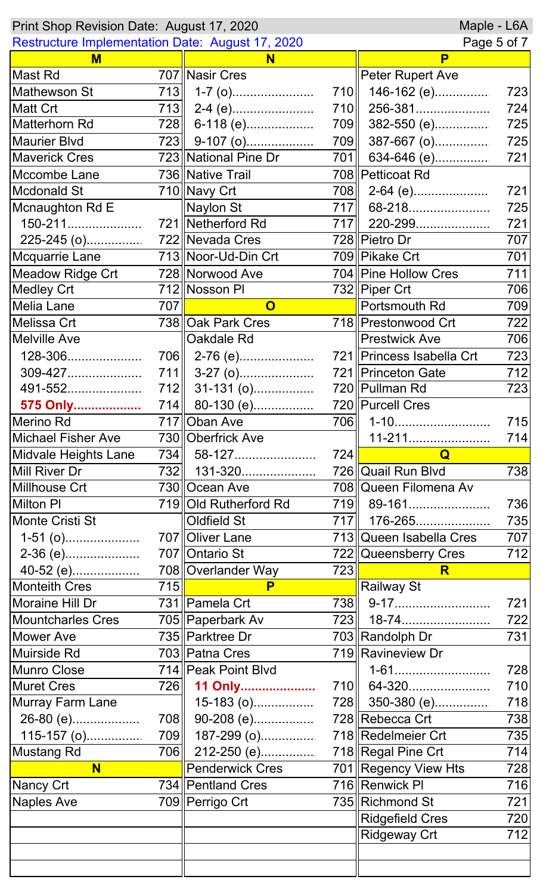| Maple - L6A<br>Print Shop Revision Date: August 17, 2020 |     |                       |     |                             |     |
|----------------------------------------------------------|-----|-----------------------|-----|-----------------------------|-----|
| <b>Restructure Implementation Date: August 17, 2020</b>  |     |                       |     | Page 5 of 7                 |     |
| M                                                        |     | N                     |     | P                           |     |
| Mast Rd                                                  |     | 707 Nasir Cres        |     | Peter Rupert Ave            |     |
| Mathewson St                                             | 713 | $1-7$ (o)             | 710 | 146-162 (e)                 | 723 |
| <b>Matt Crt</b>                                          |     | $713$   2-4 (e)       |     | 710   256-381               | 724 |
| Matterhorn Rd                                            | 728 | 6-118 (e)             | 709 | 382-550 (e)                 | 725 |
| <b>Maurier Blvd</b>                                      |     | $723$ 9-107 (o)       | 709 | 387-667 (o)                 | 725 |
| <b>Maverick Cres</b>                                     |     | 723 National Pine Dr  | 701 |                             | 721 |
| Mccombe Lane                                             |     | 736 Native Trail      |     | 708 Petticoat Rd            |     |
| <b>Mcdonald St</b>                                       |     | 710 Navy Crt          |     | 708 2-64 (e)                | 721 |
| Mcnaughton Rd E                                          |     | Naylon St             | 717 | 68-218                      | 725 |
| 150-211                                                  |     | 721 Netherford Rd     | 717 | 220-299                     | 721 |
| 225-245 (o)                                              |     | 722 Nevada Cres       |     | 728 Pietro Dr               | 707 |
| Mcquarrie Lane                                           |     | 713 Noor-Ud-Din Crt   |     | 709 Pikake Crt              | 701 |
| <b>Meadow Ridge Crt</b>                                  |     | 728 Norwood Ave       |     | 704   Pine Hollow Cres      | 711 |
| <b>Medley Crt</b>                                        |     | 712 Nosson PI         |     | 732 Piper Crt               | 706 |
| Melia Lane                                               | 707 | $\mathbf 0$           |     | Portsmouth Rd               | 709 |
| Melissa Crt                                              |     | 738 Oak Park Cres     |     | 718 Prestonwood Crt         | 722 |
| <b>Melville Ave</b>                                      |     | Oakdale Rd            |     | <b>Prestwick Ave</b>        | 706 |
| 128-306                                                  |     | 706    2-76 (e)       |     | 721   Princess Isabella Crt | 723 |
| 309-427                                                  | 711 | $3-27$ (o)            |     | 721 Princeton Gate          | 712 |
| 491-552                                                  |     | $712$    31-131 (o)   |     | 720 Pullman Rd              | 723 |
| 575 Only                                                 |     | 714 80-130 (e)        |     | 720 Purcell Cres            |     |
| Merino Rd                                                |     | 717 Oban Ave          | 706 |                             | 715 |
| <b>Michael Fisher Ave</b>                                |     | 730 Oberfrick Ave     |     | 11-211                      | 714 |
| Midvale Heights Lane                                     |     |                       |     |                             |     |
|                                                          |     |                       |     |                             |     |
|                                                          |     | 734    58-127         | 724 | <u>in the Colla</u>         |     |
| Mill River Dr                                            |     | 732    131-320        |     | 726 Quail Run Blvd          | 738 |
| Millhouse Crt                                            |     | 730  Ocean Ave        |     | 708 Queen Filomena Av       |     |
| Milton PI                                                |     | 719 Old Rutherford Rd |     | 719 89-161                  | 736 |
| Monte Cristi St                                          |     | <b>Oldfield St</b>    |     | 717 176-265                 | 735 |
| $1-51$ (o)                                               |     | 707   Oliver Lane     |     | 713  Queen Isabella Cres    | 707 |
| 2-36 (e)                                                 |     | 707   Ontario St      |     | 722 Queensberry Cres        |     |
| 40-52 (e)                                                |     | 708 Overlander Way    | 723 | R.                          | 712 |
| <b>Monteith Cres</b>                                     | 715 | P                     |     | Railway St                  |     |
| Moraine Hill Dr                                          |     | 731   Pamela Crt      |     | 738    9-17                 | 721 |
| <b>Mountcharles Cres</b>                                 |     | 705 Paperbark Av      |     | 723    18-74                | 722 |
| <b>Mower Ave</b>                                         |     | 735 Parktree Dr       |     | 703 Randolph Dr             | 731 |
| Muirside Rd                                              |     | 703 Patna Cres        |     | 719 Ravineview Dr           |     |
| <b>Munro Close</b>                                       |     | 714 Peak Point Blvd   |     | 1-61                        | 728 |
| <b>Muret Cres</b>                                        | 726 | 11 Only               |     | 710 64-320                  | 710 |
| <b>Murray Farm Lane</b>                                  |     | $15-183$ (o)          |     | 728 350-380 (e)             | 718 |
| 26-80 (e)                                                |     | 708    90-208 (e)     |     | 728 Rebecca Crt             | 738 |
| $115-157$ (o)                                            |     | 709    187-299 (o)    |     | 718 Redelmeier Crt          | 735 |
| <b>Mustang Rd</b>                                        |     | 706    212-250 (e)    |     | 718 Regal Pine Crt          | 714 |
| N                                                        |     | Penderwick Cres       |     | 701 Regency View Hts        | 728 |
| Nancy Crt                                                |     | 734   Pentland Cres   |     | 716 Renwick PI              | 716 |
| Naples Ave                                               |     | 709   Perrigo Crt     |     | 735 Richmond St             | 721 |
|                                                          |     |                       |     | <b>Ridgefield Cres</b>      | 720 |
|                                                          |     |                       |     | <b>Ridgeway Crt</b>         | 712 |
|                                                          |     |                       |     |                             |     |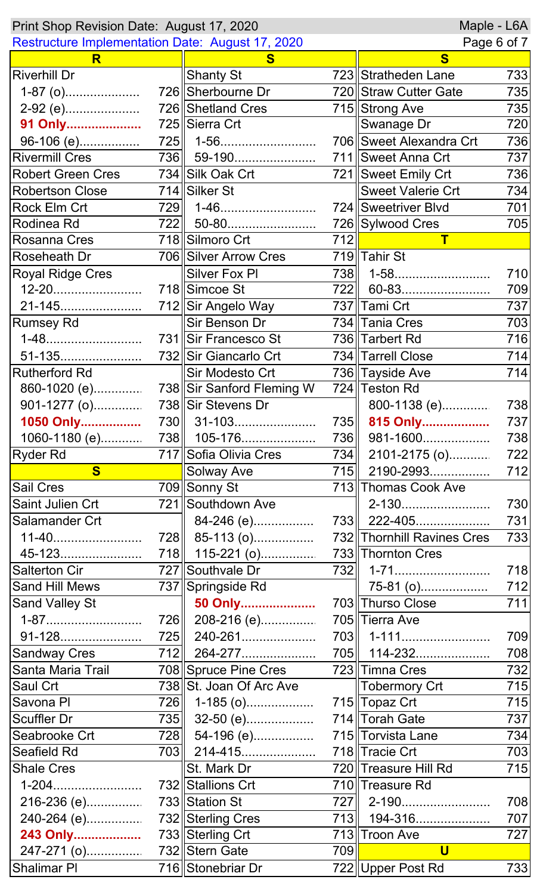| Maple - L6A<br>Print Shop Revision Date: August 17, 2020 |                   |                                 |     |                            |     |
|----------------------------------------------------------|-------------------|---------------------------------|-----|----------------------------|-----|
| Restructure Implementation Date: August 17, 2020         |                   |                                 |     | Page 6 of 7                |     |
| R                                                        |                   | S                               |     | $\mathbf{s}$               |     |
| <b>Riverhill Dr</b>                                      |                   | <b>Shanty St</b>                |     | 723 Stratheden Lane        | 733 |
| $1-87$ (o)                                               |                   | 726 Sherbourne Dr               |     | 720 Straw Cutter Gate      | 735 |
| 2-92 (e)                                                 |                   | 726 Shetland Cres               |     | 715 Strong Ave             | 735 |
| 91 Only                                                  |                   | 725 Sierra Crt                  |     | <b>Swanage Dr</b>          | 720 |
| 96-106 (e)                                               |                   | $725$   1-56                    |     | 706 Sweet Alexandra Crt    | 736 |
| <b>Rivermill Cres</b>                                    |                   | 736    59-190                   |     | 711 Sweet Anna Crt         | 737 |
| <b>Robert Green Cres</b>                                 |                   | 734 Silk Oak Crt                |     | 721 Sweet Emily Crt        | 736 |
| <b>Robertson Close</b>                                   |                   | 714 Silker St                   |     | <b>Sweet Valerie Crt</b>   | 734 |
| <b>Rock Elm Crt</b>                                      | 729               | 1-46                            |     | 724 Sweetriver Blvd        | 701 |
| Rodinea Rd                                               |                   | 722   50-80                     |     | 726 Sylwood Cres           | 705 |
| Rosanna Cres                                             |                   | 718 Silmoro Crt                 | 712 | $\mathsf T$                |     |
| <b>Roseheath Dr</b>                                      |                   | 706 Silver Arrow Cres           |     | 719 Tahir St               |     |
| <b>Royal Ridge Cres</b>                                  |                   | <b>Silver Fox PI</b>            | 738 | 1-58                       | 710 |
| 12-20                                                    |                   | 718 Simcoe St                   | 722 | 60-83                      | 709 |
| 21-145                                                   |                   | 712 Sir Angelo Way              |     | 737 Tami Crt               | 737 |
| <b>Rumsey Rd</b>                                         |                   | Sir Benson Dr                   |     | 734 Tania Cres             | 703 |
| 1-48                                                     |                   | 731 Sir Francesco St            |     | 736 Tarbert Rd             | 716 |
| 51-135                                                   |                   | 732 Sir Giancarlo Crt           |     | 734 Tarrell Close          | 714 |
| <b>Rutherford Rd</b>                                     |                   | Sir Modesto Crt                 |     | 736 Tayside Ave            | 714 |
|                                                          |                   |                                 |     | 724 Teston Rd              |     |
| 901-1277 (o)                                             |                   | 738 Sir Stevens Dr              |     | 800-1138 (e)               | 738 |
| 1050 Only                                                |                   | 730    31-103                   |     | 735 815 Only               | 737 |
| 1060-1180 (e)                                            |                   | 738    105-176                  | 736 | 981-1600                   | 738 |
| <b>Ryder Rd</b>                                          |                   | 717 Sofia Olivia Cres           | 734 | $2101 - 2175$ (o)          | 722 |
| <b>S</b>                                                 |                   | Solway Ave                      | 715 | 2190-2993                  | 712 |
| <b>Sail Cres</b>                                         |                   | 709 Sonny St                    |     | 713 Thomas Cook Ave        |     |
| Saint Julien Crt                                         |                   | 721 Southdown Ave               |     | 2-130                      | 730 |
| Salamander Crt                                           |                   | 84-246 (e)                      |     | 733   222-405              | 731 |
| 11-40                                                    | <b>728</b>        | 85-113 (o)                      |     | 732 Thornhill Ravines Cres | 733 |
| 45-123                                                   | 718 <sup>  </sup> |                                 |     | 733 Thornton Cres          |     |
| <b>Salterton Cir</b>                                     |                   | 115-221 (o)<br>727 Southvale Dr | 732 | 1-71                       | 718 |
|                                                          |                   |                                 |     |                            |     |
| <b>Sand Hill Mews</b>                                    |                   | 737 Springside Rd               |     | 75-81 (o)                  | 712 |
| <b>Sand Valley St</b>                                    |                   | 50 Only                         |     | 703 Thurso Close           | 711 |
| 1-87                                                     | 726               | 208-216 (e)                     |     | 705 Tierra Ave             |     |
| 91-128                                                   | 725               | 240-261                         |     | 703   1-111                | 709 |
| <b>Sandway Cres</b>                                      | 712               | 264-277                         |     | 705   114-232              | 708 |
| Santa Maria Trail                                        |                   | 708 Spruce Pine Cres            |     | 723 Timna Cres             | 732 |
| <b>Saul Crt</b>                                          |                   | 738 St. Joan Of Arc Ave         |     | ∥Tobermory Crt             | 715 |
| Savona PI                                                | 726               | 1-185 (o)                       |     | 715 Topaz Crt              | 715 |
| <b>Scuffler Dr</b>                                       | 735               | 32-50 (e)                       |     | 714 Torah Gate             | 737 |
| Seabrooke Crt                                            | 728               | 54-196 (e)                      |     | 715 Torvista Lane          | 734 |
| <b>Seafield Rd</b>                                       | 703               | 214-415                         |     | 718 Tracie Crt             | 703 |
| <b>Shale Cres</b>                                        |                   | St. Mark Dr                     |     | 720 Treasure Hill Rd       | 715 |
| $1-204$                                                  |                   | 732 Stallions Crt               |     | 710 Treasure Rd            |     |
| 216-236 (e)                                              |                   | 733 Station St                  | 727 | 2-190                      | 708 |
| 240-264 (e)                                              |                   | 732 Sterling Cres               | 713 | 194-316                    | 707 |
| 243 Only                                                 |                   | 733 Sterling Crt                |     | 713  Troon Ave             | 727 |
| 247-271 (o)                                              |                   | 732 Stern Gate                  | 709 | U                          |     |
| <b>Shalimar PI</b>                                       |                   | 716 Stonebriar Dr               |     | 722 Upper Post Rd          | 733 |